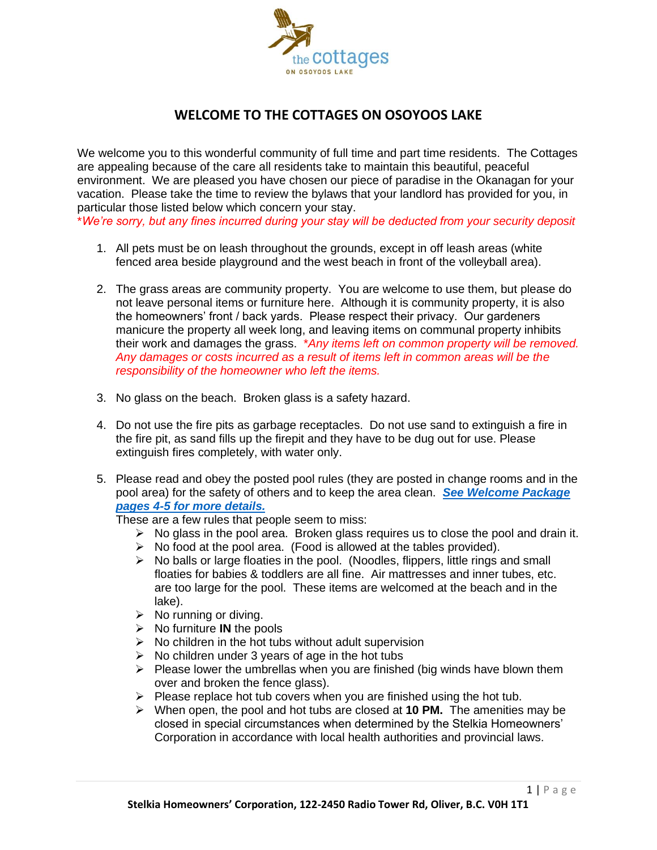

## **WELCOME TO THE COTTAGES ON OSOYOOS LAKE**

We welcome you to this wonderful community of full time and part time residents. The Cottages are appealing because of the care all residents take to maintain this beautiful, peaceful environment. We are pleased you have chosen our piece of paradise in the Okanagan for your vacation. Please take the time to review the bylaws that your landlord has provided for you, in particular those listed below which concern your stay.

\**We're sorry, but any fines incurred during your stay will be deducted from your security deposit*

- 1. All pets must be on leash throughout the grounds, except in off leash areas (white fenced area beside playground and the west beach in front of the volleyball area).
- 2. The grass areas are community property. You are welcome to use them, but please do not leave personal items or furniture here. Although it is community property, it is also the homeowners' front / back yards. Please respect their privacy. Our gardeners manicure the property all week long, and leaving items on communal property inhibits their work and damages the grass. \**Any items left on common property will be removed. Any damages or costs incurred as a result of items left in common areas will be the responsibility of the homeowner who left the items.*
- 3. No glass on the beach. Broken glass is a safety hazard.
- 4. Do not use the fire pits as garbage receptacles. Do not use sand to extinguish a fire in the fire pit, as sand fills up the firepit and they have to be dug out for use. Please extinguish fires completely, with water only.
- 5. Please read and obey the posted pool rules (they are posted in change rooms and in the pool area) for the safety of others and to keep the area clean. *[See Welcome Package](https://tcool.ca/wp-content/uploads/2022/03/Pool-Rules-pages-4-5.pdf)  [pages 4-5 for more details.](https://tcool.ca/wp-content/uploads/2022/03/Pool-Rules-pages-4-5.pdf)*

These are a few rules that people seem to miss:

- $\triangleright$  No glass in the pool area. Broken glass requires us to close the pool and drain it.
- $\triangleright$  No food at the pool area. (Food is allowed at the tables provided).
- $\triangleright$  No balls or large floaties in the pool. (Noodles, flippers, little rings and small floaties for babies & toddlers are all fine. Air mattresses and inner tubes, etc. are too large for the pool. These items are welcomed at the beach and in the lake).
- $\triangleright$  No running or diving.
- ➢ No furniture **IN** the pools
- $\triangleright$  No children in the hot tubs without adult supervision
- $\triangleright$  No children under 3 years of age in the hot tubs
- $\triangleright$  Please lower the umbrellas when you are finished (big winds have blown them over and broken the fence glass).
- $\triangleright$  Please replace hot tub covers when you are finished using the hot tub.
- ➢ When open, the pool and hot tubs are closed at **10 PM.** The amenities may be closed in special circumstances when determined by the Stelkia Homeowners' Corporation in accordance with local health authorities and provincial laws.